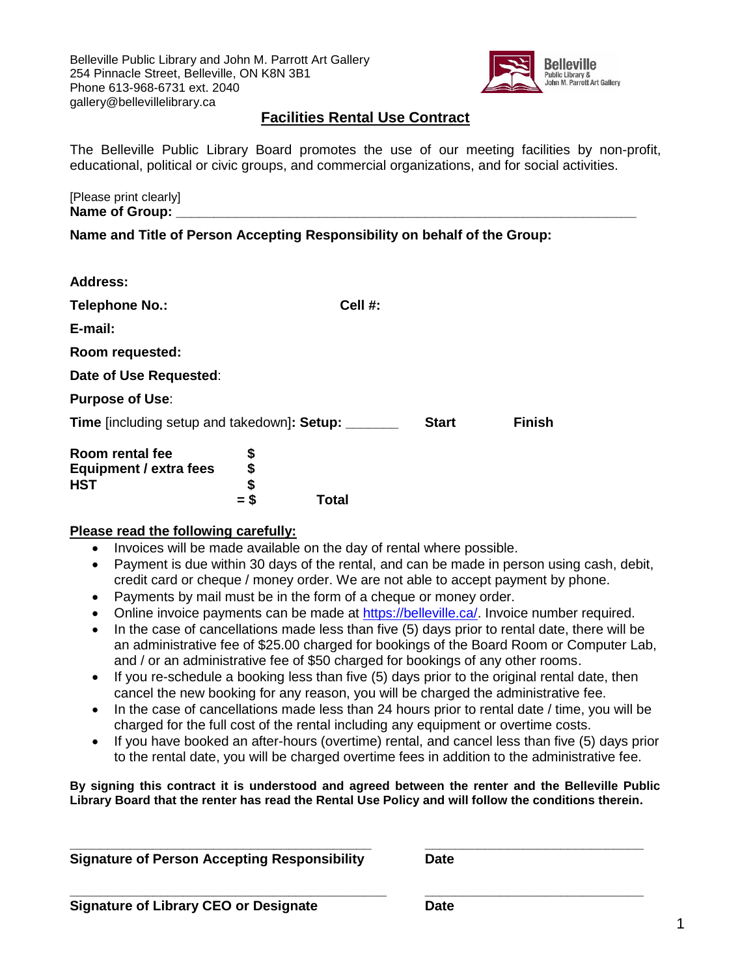Belleville Public Library and John M. Parrott Art Gallery 254 Pinnacle Street, Belleville, ON K8N 3B1 Phone 613-968-6731 ext. 2040 gallery@bellevillelibrary.ca



## **Facilities Rental Use Contract**

The Belleville Public Library Board promotes the use of our meeting facilities by non-profit, educational, political or civic groups, and commercial organizations, and for social activities.

[Please print clearly] Name of Group:

**Name and Title of Person Accepting Responsibility on behalf of the Group:** 

| <b>Address:</b>                                                                   |         |                               |
|-----------------------------------------------------------------------------------|---------|-------------------------------|
| Telephone No.:                                                                    | Cell #: |                               |
| E-mail:                                                                           |         |                               |
| Room requested:                                                                   |         |                               |
| Date of Use Requested:                                                            |         |                               |
| <b>Purpose of Use:</b>                                                            |         |                               |
| Time [including setup and takedown]: Setup:                                       |         | <b>Finish</b><br><b>Start</b> |
| Room rental fee<br>\$<br>\$\$<br>Equipment / extra fees<br><b>HST</b><br>S<br>$=$ | Total   |                               |

### **Please read the following carefully:**

- Invoices will be made available on the day of rental where possible.
- Payment is due within 30 days of the rental, and can be made in person using cash, debit, credit card or cheque / money order. We are not able to accept payment by phone.
- Payments by mail must be in the form of a cheque or money order.
- Online invoice payments can be made at [https://belleville.ca/.](https://belleville.ca/) Invoice number required.
- In the case of cancellations made less than five (5) days prior to rental date, there will be an administrative fee of \$25.00 charged for bookings of the Board Room or Computer Lab, and / or an administrative fee of \$50 charged for bookings of any other rooms.
- $\bullet$  If you re-schedule a booking less than five (5) days prior to the original rental date, then cancel the new booking for any reason, you will be charged the administrative fee.
- In the case of cancellations made less than 24 hours prior to rental date / time, you will be charged for the full cost of the rental including any equipment or overtime costs.
- If you have booked an after-hours (overtime) rental, and cancel less than five (5) days prior to the rental date, you will be charged overtime fees in addition to the administrative fee.

**By signing this contract it is understood and agreed between the renter and the Belleville Public Library Board that the renter has read the Rental Use Policy and will follow the conditions therein.**

| <b>Signature of Person Accepting Responsibility</b> | Date |
|-----------------------------------------------------|------|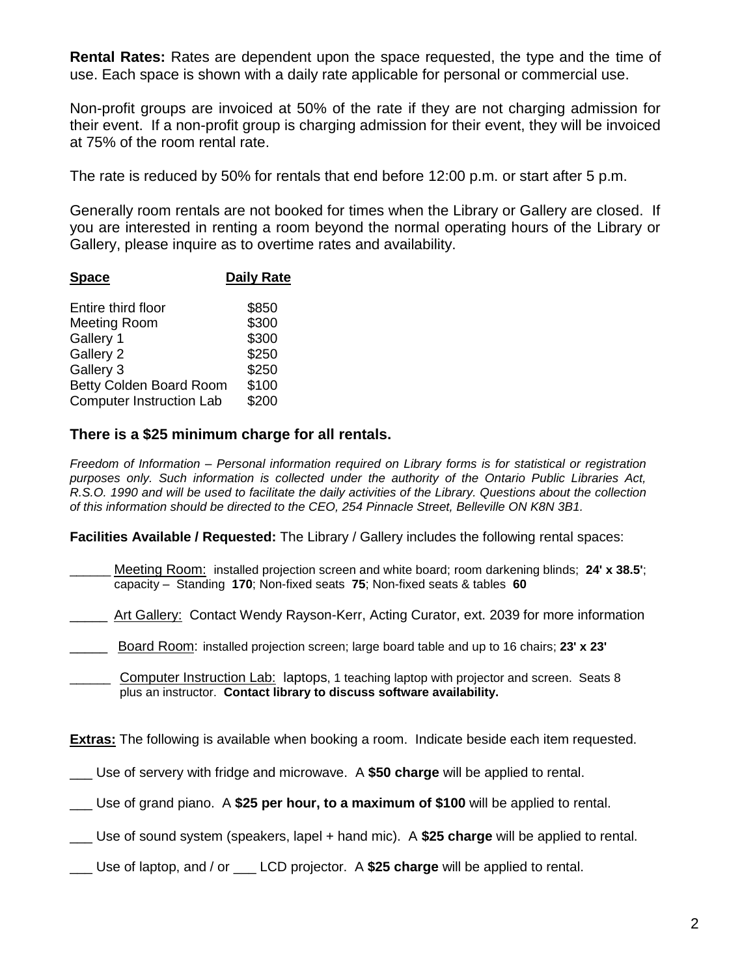**Rental Rates:** Rates are dependent upon the space requested, the type and the time of use. Each space is shown with a daily rate applicable for personal or commercial use.

Non-profit groups are invoiced at 50% of the rate if they are not charging admission for their event. If a non-profit group is charging admission for their event, they will be invoiced at 75% of the room rental rate.

The rate is reduced by 50% for rentals that end before 12:00 p.m. or start after 5 p.m.

Generally room rentals are not booked for times when the Library or Gallery are closed. If you are interested in renting a room beyond the normal operating hours of the Library or Gallery, please inquire as to overtime rates and availability.

| <b>Space</b>                                                                                         | <b>Daily Rate</b>                                  |
|------------------------------------------------------------------------------------------------------|----------------------------------------------------|
| Entire third floor<br>Meeting Room<br>Gallery 1<br>Gallery 2<br>Gallery 3<br>Betty Colden Board Room | \$850<br>\$300<br>\$300<br>\$250<br>\$250<br>\$100 |
| <b>Computer Instruction Lab</b>                                                                      | \$200                                              |
|                                                                                                      |                                                    |

# **There is a \$25 minimum charge for all rentals.**

*Freedom of Information – Personal information required on Library forms is for statistical or registration purposes only. Such information is collected under the authority of the Ontario Public Libraries Act, R.S.O. 1990 and will be used to facilitate the daily activities of the Library. Questions about the collection of this information should be directed to the CEO, 254 Pinnacle Street, Belleville ON K8N 3B1.*

**Facilities Available / Requested:** The Library / Gallery includes the following rental spaces:

- \_\_\_\_\_\_ Meeting Room: installed projection screen and white board; room darkening blinds; **24' x 38.5'**; capacity – Standing **170**; Non-fixed seats **75**; Non-fixed seats & tables **60**
- Art Gallery: Contact Wendy Rayson-Kerr, Acting Curator, ext. 2039 for more information
- \_\_\_\_\_ Board Room: installed projection screen; large board table and up to 16 chairs; **23' x 23'**
- Computer Instruction Lab: laptops, 1 teaching laptop with projector and screen. Seats 8 plus an instructor. **Contact library to discuss software availability.**

**Extras:** The following is available when booking a room. Indicate beside each item requested.

- \_\_\_ Use of servery with fridge and microwave. A **\$50 charge** will be applied to rental.
- \_\_\_ Use of grand piano. A **\$25 per hour, to a maximum of \$100** will be applied to rental.
- \_\_\_ Use of sound system (speakers, lapel + hand mic). A **\$25 charge** will be applied to rental.
- \_\_\_ Use of laptop, and / or \_\_\_ LCD projector. A **\$25 charge** will be applied to rental.